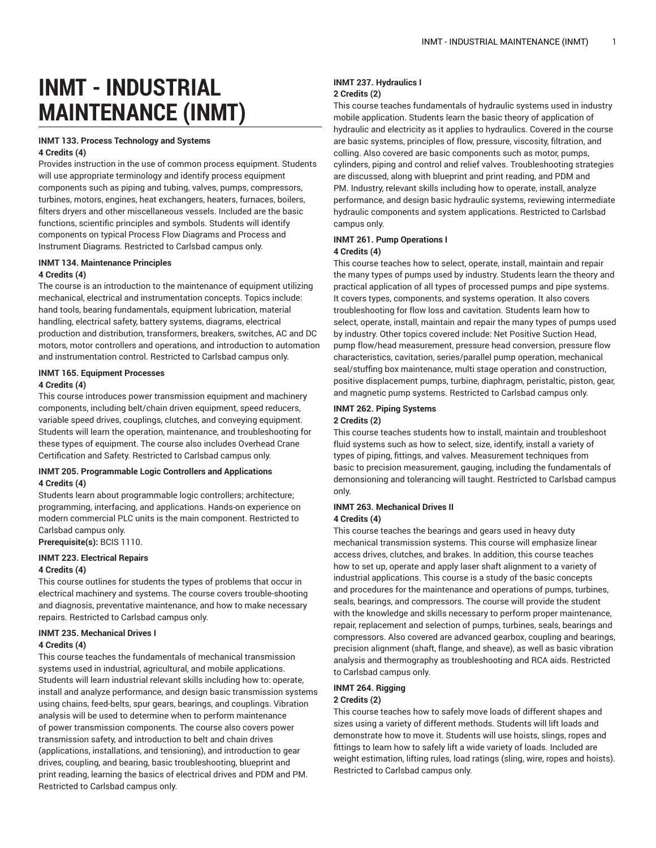# **INMT - INDUSTRIAL MAINTENANCE (INMT)**

## **INMT 133. Process Technology and Systems**

#### **4 Credits (4)**

Provides instruction in the use of common process equipment. Students will use appropriate terminology and identify process equipment components such as piping and tubing, valves, pumps, compressors, turbines, motors, engines, heat exchangers, heaters, furnaces, boilers, filters dryers and other miscellaneous vessels. Included are the basic functions, scientific principles and symbols. Students will identify components on typical Process Flow Diagrams and Process and Instrument Diagrams. Restricted to Carlsbad campus only.

## **INMT 134. Maintenance Principles 4 Credits (4)**

The course is an introduction to the maintenance of equipment utilizing mechanical, electrical and instrumentation concepts. Topics include: hand tools, bearing fundamentals, equipment lubrication, material handling, electrical safety, battery systems, diagrams, electrical production and distribution, transformers, breakers, switches, AC and DC motors, motor controllers and operations, and introduction to automation and instrumentation control. Restricted to Carlsbad campus only.

#### **INMT 165. Equipment Processes**

#### **4 Credits (4)**

This course introduces power transmission equipment and machinery components, including belt/chain driven equipment, speed reducers, variable speed drives, couplings, clutches, and conveying equipment. Students will learn the operation, maintenance, and troubleshooting for these types of equipment. The course also includes Overhead Crane Certification and Safety. Restricted to Carlsbad campus only.

#### **INMT 205. Programmable Logic Controllers and Applications 4 Credits (4)**

Students learn about programmable logic controllers; architecture; programming, interfacing, and applications. Hands-on experience on modern commercial PLC units is the main component. Restricted to Carlsbad campus only.

**Prerequisite(s):** BCIS 1110.

## **INMT 223. Electrical Repairs**

#### **4 Credits (4)**

This course outlines for students the types of problems that occur in electrical machinery and systems. The course covers trouble-shooting and diagnosis, preventative maintenance, and how to make necessary repairs. Restricted to Carlsbad campus only.

#### **INMT 235. Mechanical Drives I 4 Credits (4)**

This course teaches the fundamentals of mechanical transmission systems used in industrial, agricultural, and mobile applications. Students will learn industrial relevant skills including how to: operate, install and analyze performance, and design basic transmission systems using chains, feed-belts, spur gears, bearings, and couplings. Vibration analysis will be used to determine when to perform maintenance of power transmission components. The course also covers power transmission safety, and introduction to belt and chain drives (applications, installations, and tensioning), and introduction to gear drives, coupling, and bearing, basic troubleshooting, blueprint and print reading, learning the basics of electrical drives and PDM and PM. Restricted to Carlsbad campus only.

## **INMT 237. Hydraulics I 2 Credits (2)**

This course teaches fundamentals of hydraulic systems used in industry mobile application. Students learn the basic theory of application of hydraulic and electricity as it applies to hydraulics. Covered in the course are basic systems, principles of flow, pressure, viscosity, filtration, and colling. Also covered are basic components such as motor, pumps, cylinders, piping and control and relief valves. Troubleshooting strategies are discussed, along with blueprint and print reading, and PDM and PM. Industry, relevant skills including how to operate, install, analyze performance, and design basic hydraulic systems, reviewing intermediate hydraulic components and system applications. Restricted to Carlsbad campus only.

## **INMT 261. Pump Operations I**

#### **4 Credits (4)**

This course teaches how to select, operate, install, maintain and repair the many types of pumps used by industry. Students learn the theory and practical application of all types of processed pumps and pipe systems. It covers types, components, and systems operation. It also covers troubleshooting for flow loss and cavitation. Students learn how to select, operate, install, maintain and repair the many types of pumps used by industry. Other topics covered include: Net Positive Suction Head, pump flow/head measurement, pressure head conversion, pressure flow characteristics, cavitation, series/parallel pump operation, mechanical seal/stuffing box maintenance, multi stage operation and construction, positive displacement pumps, turbine, diaphragm, peristaltic, piston, gear, and magnetic pump systems. Restricted to Carlsbad campus only.

#### **INMT 262. Piping Systems**

#### **2 Credits (2)**

This course teaches students how to install, maintain and troubleshoot fluid systems such as how to select, size, identify, install a variety of types of piping, fittings, and valves. Measurement techniques from basic to precision measurement, gauging, including the fundamentals of demonsioning and tolerancing will taught. Restricted to Carlsbad campus only.

#### **INMT 263. Mechanical Drives II 4 Credits (4)**

This course teaches the bearings and gears used in heavy duty mechanical transmission systems. This course will emphasize linear access drives, clutches, and brakes. In addition, this course teaches how to set up, operate and apply laser shaft alignment to a variety of industrial applications. This course is a study of the basic concepts and procedures for the maintenance and operations of pumps, turbines, seals, bearings, and compressors. The course will provide the student with the knowledge and skills necessary to perform proper maintenance, repair, replacement and selection of pumps, turbines, seals, bearings and compressors. Also covered are advanced gearbox, coupling and bearings, precision alignment (shaft, flange, and sheave), as well as basic vibration analysis and thermography as troubleshooting and RCA aids. Restricted to Carlsbad campus only.

## **INMT 264. Rigging**

#### **2 Credits (2)**

This course teaches how to safely move loads of different shapes and sizes using a variety of different methods. Students will lift loads and demonstrate how to move it. Students will use hoists, slings, ropes and fittings to learn how to safely lift a wide variety of loads. Included are weight estimation, lifting rules, load ratings (sling, wire, ropes and hoists). Restricted to Carlsbad campus only.